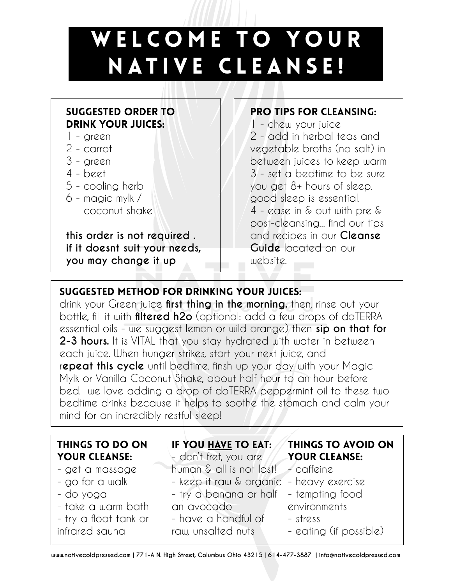## W E L C O M E T O YOUR NATIVE CLEANSE!

### Suggested Order to Drink your Juices:

- 1 green
- 2 carrot
- 3 green
- 4 beet
- 5 cooling herb
- 6 magic mylk / coconut shake

**this order is not required . if it doesnt suit your needs, you may change it up**

### pro tips for cleansing:

1 - chew your juice 2 - add in herbal teas and vegetable broths (no salt) in between juices to keep warm 3 - set a bedtime to be sure you get 8+ hours of sleep. good sleep is essential. 4 - ease in & out with pre & post-cleansing... find our tips and recipes in our **Cleanse Guide** located on our website.

# you may change it up<br>Not method for drinking your juices:<br>National formulation of the success of the success of the success of the success of the success of the success

drink your Green juice **first thing in the morning.** then, rinse out your bottle, fill it with **filtered h2o** (optional: add a few drops of doTERRA essential oils - we suggest lemon or wild orange) then **sip on that for 2-3 hours.** It is VITAL that you stay hydrated with water in between each juice. When hunger strikes, start your next juice, and r**epeat this cycle** until bedtime. finsh up your day with your Magic Mylk or Vanilla Coconut Shake, about half hour to an hour before bed. we love adding a drop of doTERRA peppermint oil to these two bedtime drinks because it helps to soothe the stomach and calm your mind for an incredibly restful sleep!

| THINGS TO DO ON       | IF YOU HAVE TO EAT:                      | THINGS TO AVOID ON     |
|-----------------------|------------------------------------------|------------------------|
| <b>YOUR CLEANSE:</b>  | - don't fret, you are                    | YOUR CLEANSE:          |
| - get a massage       | human & all is not lost! - caffeine      |                        |
| - go for a walk       | - keep it raw & organic - heavy exercise |                        |
| - do yoga             | - try a banana or half - tempting food   |                        |
| - take a warm bath    | an avocado                               | environments           |
| - try a float tank or | - have a handful of                      | - stress               |
| infrared sauna        | raw, unsalted nuts                       | - eating (if possible) |